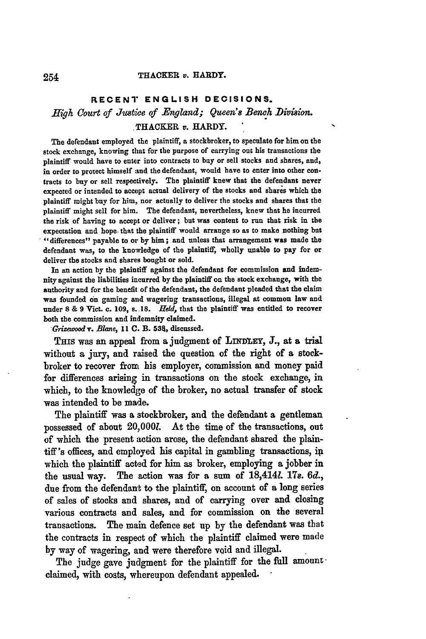#### **THACKER** v. **HARDY.**

### **RECENT ENGLISH DECISIONS.**

# *High Court of Jwtice of .Engand; Queen'8 Bench Division.* .THACKER *v.* **HARDY.**

The defendant employed the plaintiff, a stockbroker, to speculate for him on the stock exchange, knowing that for the purpose of carrying out his transactions the plaintiff would have to enter into contracts to buy or sell stocks and shares, and, in order to protect himself and the defendant, would have to enter into other contracts to buy or sell respectively. The plaintiff knew that the defendant never expected or intended to accept actual delivery of the stocks and shares which the plaintiff might **buy** for him, nor actually to deliver the stocks and shares that the plaintiff might sell for him. The defendant, nevertheless, knew that he incurred the risk of having to accept or deliver; but was content to **run** that risk in the expectation and hope. that the plaintiff would arrange so as to make nothing but "differences" payable to or **by** him; and unless that arrangement was made the defendant was, to the knowledge of the plaintiff, wholly unable to **pay** for or deliver the stocks and shares bought or sold.

**In** an action **by** the plaintiff against the defendant for commission and indemnity against the liabilities incurred **by** the plaintiff on the stock exchange, with the authority and for the benefit of the defendant, the defendant pleaded that the claim was founded **on** gaming and wagering transactions, illegal at common law and under **8** & **9** Vict. c. **109, s.** 18. *Held,* that the plaintiff was entitled to recover both the commission and indemnity claimed.

*Griizeoodv. Blane,* **11 C.** B. **538,** discussed.

THIS was an appeal from a judgment of LINDLEY, J., at a trial without a jury, and raised the question of the right of **a** stockbroker to recover from his employer, commission and money paid for differences arising in transactions on the stock exchange, in which, to the knowledge of the broker, no actual transfer of stock was intended to be made.

The plaintiff was a stockbroker, and the defendant a gentleman possessed of about 20,0001. At the time of the transactions, out of which the present action arose, the defendant shared the plaintiff's offices, and employed his capital in gambling transactions, in which the plaintiff acted for him as broker, employing a jobber in the usual way. The action was for **a** sum of 18,4141. **178.** *6d.,* due from the defendant to the plaintiff, on account of a long series of sales of stocks and shares, and of carrying over and closing various contracts and sales, and for commission on the several transactions. The main defence set up **by** the defendant was that the contracts in respect of which the plaintiff claimed were made **by** way of wagering, and were therefore void and illegal.

The judge gave judgment for the plaintiff for the **full** amount claimed, with costs, whereupon defendant appealed.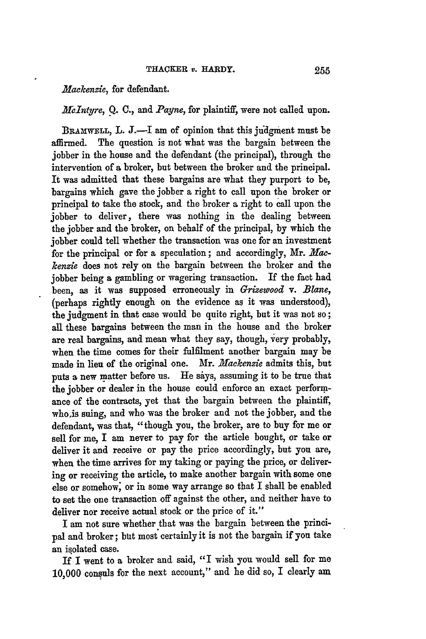### *Mackenzie,* for defendant.

*MJntyre, Q.* **C.,** and *Payne,* for plaintiff, were not called upon.

BRAMWELL, L. J.—I am of opinion that this judgment must be affirmed. The question is not what was the bargain between the jobber in the house and the defendant (the principal), through the intervention of a broker, but between the broker and the principal. It was admitted that these bargains are what they purport to be, bargains which gave the jobber a right to call upon the broker or principal to take the stock, and the broker a right to call upon the jobber to deliver, there was nothing in the dealing between the jobber and the broker, on behalf of the principal, by which the jobber could tell whether the transaction was one for an investment for the principal or for a speculation; and accordingly, Mr. *Mackenzie* does not rely on the bargain between the broker and the jobber being a gambling or wagering transaction. If the fact had been, as it was supposed erroneously in *Grizewood v. Blane,* (perhaps rightly enough on the evidence as it was understood), the judgment in that case would be quite right, but it was not so; all these bargains between the man in the house and the broker are real bargains, and mean what they say, though, very probably, when the time comes for their fulfilment another bargain may be made in lieu of the original one. Mr. *Mackenzie* admits this, but puts a new matter before us. **He** siys, assuming it to be true that the jobber or dealer in the house could enforce an exact perform. ance of the contracts, yet that the bargain between the plaintiff, who is suing, and who was the broker and not the jobber, and the defendant, was that, "though you, the broker, are to buy for me or sell for me, I am never to pay for the article bought, or take or deliver it and receive or pay the price accordingly, but you are, when the time arrives for my taking or paying the price, or delivering or receiving the article, to make another bargain with some one else or somehow; or in some way arrange so that I shall be enabled to set the one transaction off against the other, and neither have to deliver nor receive actual stock or the price of it."

**I** am not sure whether that was the bargain between the principal and broker; but most certainly it is not the bargain if you take an isolated case.

If **I** went to a broker and said, "I wish you would sell for me **10,000** consuls for the next account," and he did so, I clearly am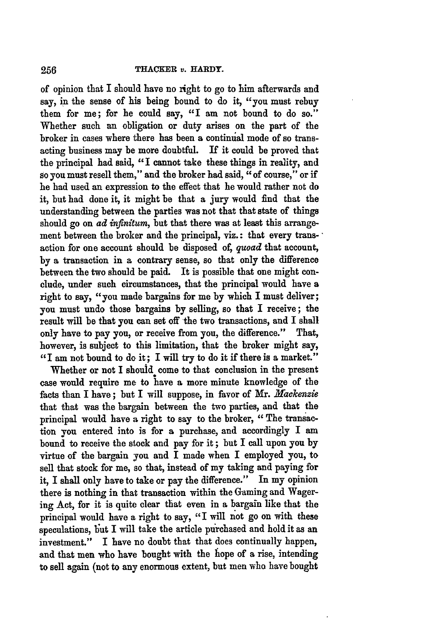of opinion that I should have no right to go to him afterwards and say, in the sense of his being bound to do it, "you must rebuy them for me; for he could say, "I am not bound to do so." Whether such an obligation or duty arises on the part of the broker in cases where there has been a continal mode of so transacting business may be more doubtful. If it could be proved that the principal had said, "I cannot take these things in reality, and **so** you must resell them," and the broker had said, "of course," or if he had used an expression to the effect that he would rather not do it, but had done it, it might be that a jury would find that the understanding between the parties was not that that state of things should go on *ad infinitum,* but that there was at least this arrangement between the broker and the principal, viz.: that every transaction for one account should be disposed of, quoad that account, **by** a transaction in a contrary sense, so that only the difference between the two should be paid. It is possible that one might conclude, under such circumstances, that the principal would have a right to say, "you made bargains for me **by** which **I** must deliver; you must undo those bargains **by** selling, so that I receive; the result will be that you can set off the two transactions, and I shall only have to pay you, or receive from you, the difference." That, however, is subject to this limitation, that the broker might say, "I am not bound to **do it;** I will try to do it if there is a market."

Whether or not I should come to that conclusion in the present case would require me to have a more minute knowledge of the facts than I have; but I will suppose, in favor of Mr. *Mackenzie* that that was the bargain between the two parties, and that the principal would have a right to say to the broker, "The transaction **you** entered into is for a purchase, and accordingly I am bound to receive the stock and pay for it; but I **call** upon you **by** virtue of the bargain **you** and I made when I employed you, to sell that stock for me, so that, instead of my taking and paying for it, I shall only have to take or pay the difference." In my opinion there is nothing in that transaction within the Gaming and Wagering Act, for it is quite clear that even in a bargain like that the principal would have a right to say, "I will not go on with these speculations, but  $I$  will take the article purchased and hold it as an investment." I have no doubt that that does continually happen, and that men who have bought with the hope of a rise, intending to sell again (not **to** any enormous extent, but men who have bought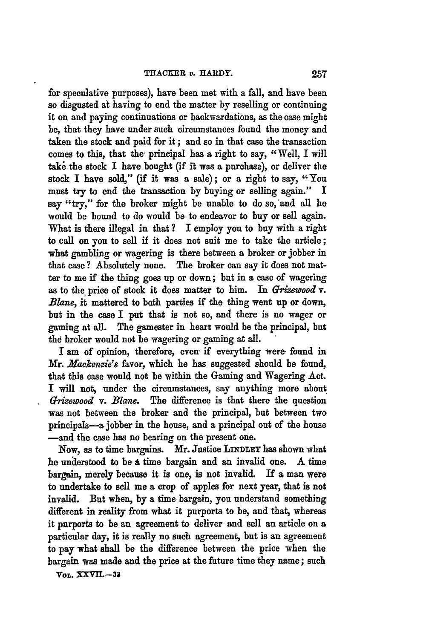for speculative purposes), have been met with a fall, and have been so disgusted at having to end the matter **by** reselling or continuing it on and paying continuations or backwardations, as the case might be, that they have under such circumstances found the money and taken the stock and paid for it; and so in that case the transaction comes to this, that the- principal has **a** right to say, "Well, I will take the stock I have bought (if it was a purchase), or deliver the stock I have sold," (if it was a sale) **;** or a ight to say, "You must try to end the transaction **by** buying or selling again." I say "try," for the broker might be unable to do so, and all he would be bound to do would be to endeavor to buy or sell again. What is there illegal in that? I employ you to buy with a right to call on you to sell if it does not suit me to take the article; what gambling or wagering is there between a broker or jobber in that case? Absolutely none. The broker can say it does not matter to me if the thing goes up or down; but in a case of wagering as to the price of stock it does matter to him. In *Grizewood* v. *.Blane,* it mattered to bath parties if the thing went up or down, but in the case I put that is not so, and there is no wager or gaming at all. The gamester in heart would be the principal, but the broker would not be wagering or gaming at all.

I am of opinion, therefore, even- if everything were found in *Mr. fackenzie's* favor, which he has suggested should be found, that this case would not be within the Gaming and Wagering Act. I will not, under the circumstances, say anything more about *Grizewood* **v.** *Blane*. The difference is that there the question was not between the broker and the principal, but between two principals-a jobber in the house, and a principal out of the house -and the case has no bearing on the present one.

Now, as to time bargains. Mr. Justice **LINDLEY** has shown what he understood to be a time bargain and an invalid one. A time bargain, merely because it is one, is not invalid. If a man were to undertake to sell me a crop of apples for next year, that is not invalid. But when, **by** a time bargain, you understand something different in reality from what it purports to be, and that, whereas it purports to be an agreement to deliver and sell an article on a particular day, it is really no such agreement, but is an agreement to pay what shall **be** the difference between the price when the bargain was made and the price at the future time they name; such

**VOL. XXVII.-33**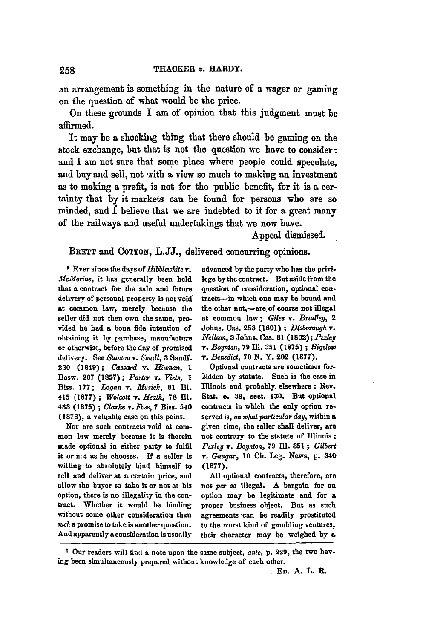an arrangement is something in the nature of a wager or gaming on the question of what would be the price.

On these grounds **I** am of opinion that this judgment must be affirmed.

It may be a shocking thing that there should be gaming on the stock exchange, but that is not the question we have to consider: and I am not sure that some place where people could speculate, and buy and sell, not with a view so much to making an investment **as** to making a profit, is not for the public benefit, for it is a certainty that **by** it markets can be found for persons who are so minded, and **I** believe that we are indebted to it for a great many of the railways and useful undertakings that we now have.

Appeal dismissed.

## BRETT and COTTON, L.JJ., delivered concurring opinions.

**I** Ever since the days of *Ilibblewhite v. McMorine,* it has generally been held that a contract for the sale and future delivery of personal property is not void at common law, merely because the seller did not then own the same, pro-Tided he had a bona **fide** intention of obtaining it **by** purchase, manufacture or otherwise, before the **de.y** of promised delivery. See *Stanton v. Emall,* **3** Sandf. **230** (1849); *Cassard* v. *Hinman, 1* Bosw. **207 (1857);** *Porter* v. *Viets,* **1** Biss. **177;** *Logan v. Musicc,* **81 Ill.** 415 **(1877) ;** *Wolcott* v. *Heath,* **78** Ill. 433 **(1875) ;** *Clarke v. Fcss,* **7** Biss. 540 **(1878),** a valuable case **on** this point.

Nor are such contracts void at common law merely because it is therein made optional in either party to fulfil it or not as he chooses. If a seller is willing to absolutely bind himself to sell and deliver at a certain price, and allow the buyer to take it or not at his option, there is no illegality in the contract. Whether it would be binding without some other consideration than *such* a promise to take is another question. And apparently a consideration is usually

advanced **by** the party who has the privilege **by** the contract. But aside from the question of consideration, optional contracts---in which one may be bound and the other not,-are of course not illegal at common law; *Giles v. Bradley, 2* Johns. Cas. **253 (1801) ;** *Disborough v. eison,* **3** Johns. Cas. **81 (1802);** *Pzzley* v. *Boynton,* **79 Ill. 351 (1875) ;** *Bigelow v. Benedict, 70 N.* Y. 202 **(1877).**

Optional contracts are sometimes forlidden **by** statute. Such is the case in Illinois and probably. elsewhere **:** Rev. Stat. **c. 38,** sect. **130.** But optional contracts in which the only option reserved is, on *what particular day,* within a given time, the seller shall deliver, are not contrary **to** the statute of Illinois **:** *Plxley v. Boynton,* **79 Ill. 351** *; Gilbert v. Gaugar,* **10 Ch.** Leg. News, **p.** 340 **(1877).**

**All** optional contracts, therefore, are not *per se* illegal. A bargain for an option may be legitimate and for a proper business object. But as such agreements can be readily prostituted to the worst kind of gambling ventures, their character may be weighed **by** a

**I ED. A.** L. **R.**

258

**I** Our readers will find a note upon the same subject, ante, **p. 229,** the two having been simultaneously prepared without knowledge of each other.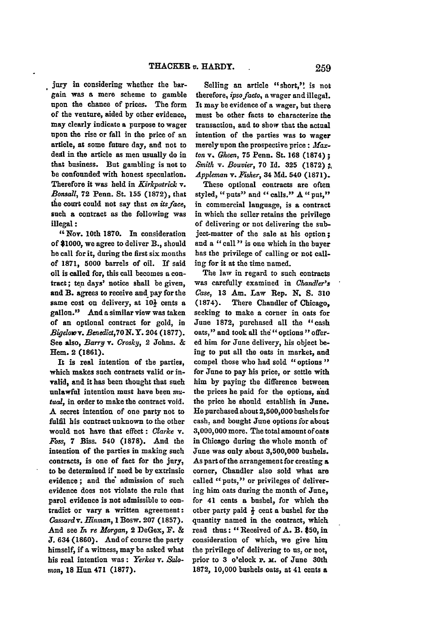jury in considering whether the bargain was a mere scheme to gamble upon the chance of prices. The form of the venture, aided **by** other evidence, may clearly indicate a purpose to wager upon the rise or fall in the price of an article, at some future day, and not to deal in the article as men usually do in that business. But gambling is not to be confounded with honest speculation. Therefore it was held in *Kirkpatrick v. Bonsal,* **72** Penn. St. **155 (1872),** that **the** court could not say that *on its face,* such a contract as the following was illegal **:**

"Nov. 10th **1870.** In consideration of **\$1000,** we agree to deliver B., should he call for it, during the first six months of **1871, 5000** barrels of oil. If said oil is called for, this call becomes a contract; ten days' notice shall be given, and **B.** agrees to receive and pay for the same cost on delivery, at  $10\frac{1}{2}$  cents a gallon." *And* a similar view was taken of **an** optional contract for gold, in *Bigelowv. Benedict,70N.Y.* 204 **(1877).** See also, *Barry* v. *Crosky,* 2 Johns. **&** Hem. 2 **(1861).**

It is real intention of the parties, which makes such contracts valid or invalid, and it has been thought that such unlawful intention must have been mu*tual,* in order to make the contract void. **A** secret intention of one party not to fulfil his contract unknown to the other would not have that effect **:** *Clarke v. Foss,* **7** Biss. 540 **(1878).** And the intention of the parties in making such contracts, is one of fact for the **jury,** to be determined if need be **by** extrinsic evidence **;** and the" admission of such evidence does not violate the rule that parol evidence is not admissible to contradict or vary **a** written agreement: *Cassardv. Hinman,* **1** Bosw. **207 (1857). And** see *rn re Morgan,* 2 DeGex, F. **& 3.634(1860).** Andof course the party himself, if a witness, may be asked what his real intention was **:** *Yerkes v. Salomnon,* **18 Han** 471 **(1877).**

Selling an article **"short,'!** is not therefore, *ipsofacto,* a wager and illegal. It may be evidence of a wager, but there must be other facts to characterize the transaction, and to show that the actual intention of the parties was to wager merely upon the prospective price: *Marton* v. *Gheen,* **75** Penn. St. **168 (1874)** *Smith v. Bouvier,* **70 Id. 325 (1872) ,** *Appleman v. Ysher,* 34 **51d.** 540 **(1871).**

These optional contracts are often styled, " puts" and " calls." A " put," in commercial language, is a contract in which the seller retains the privilege of delivering or not delivering the subject-matter of the sale at his option; and a "call" is one which in the buyer has the privilege of calling or not calling for it at the time named.

The law in regard to such contracts was carefully examined in *Chandler's Case,* **13** Am. Law Rep. *N.* **S. 310** (1874). There Chandler of Chicago, seeking to make a corner in oats for June 1872, purchased all the "cash oats," and took all the "options" offered him for June delivery, his object be**ing** to put all the oats in market, and compel those who had sold "options *"* for June to pay his price, or settle with him **by** paying the difference between the prices he paid for the options, **and** the price he should establish in June. He purchased about **2,500,000** bushels for cash, and bought June options for about **3,000,000** more. The total amount of oats in Chicago during the whole month of June was only about **3,500,000** bushels. As part of the arrangement for creating **a** comer, Chandler also sold what are called "puts," or privileges of deliver**ing** him oats during the month of June, for 41 cents a bushel, for which the other party paid  $\frac{1}{2}$  cent a bushel for the quantity named in the contract, which read thus: "Received of **A.** B. **\$50,** in consideration of which, we give him the privilege of delivering to us, or not, prior to **3** o'clock **P.** x. of June 30th **1872, 10,000** bushels oats, at 41 cents a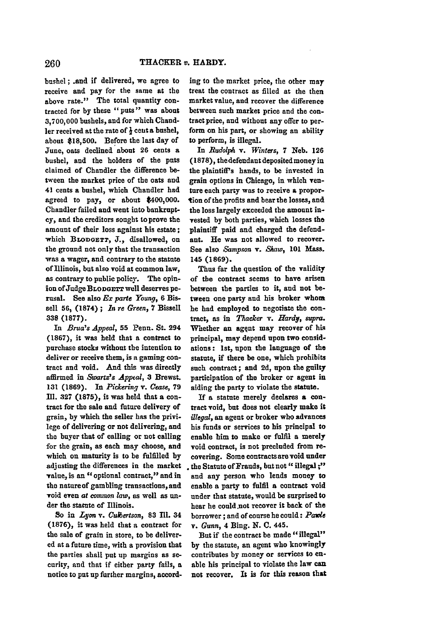bushel **;** .and if delivered, we agree to receive and pay for the same at the above rate." The total quantity contracted for **by** these "puts" was about **3,700,000** bushels, and for which Chandler received at the rate of **j** ceut a bushel, about **\$18,500.** Before the last day of June, oats declined about **26 cents a** bushel, and the holders of the puts claimed of Chandler the difference between the market price of the oats and 41 cents a bushel, which Chandler had agreed to pay, or about \$400,000. Chandler failed and went into bankruptcy, and the creditors sought to prove the amount of their loss against his estate; which **BLODGETT, J.,** disallowed, on the ground not only that the transaction was a wager, and contrary to the statute of Illinois, but also void at common law, as contrary to public policy. The opinion of Judge **BLODGETT** well deserves perusal. See also **Ex** parte *Young,* **6** Bissell **56, (1874) ;** *in re Green,* **7** Bissell **338 (1877).**

In *Brua's Appeal,* **55** Penn. St. 294 **(1867),** it was held that a contract to purchase stocks without the intention to deliver or receive them, is a gaming contract and void. And this was directly affirmed in *Swartz's Appeal,* **3** Brewst. **131 (1869).** In Pickering v. Cease, **<sup>79</sup>** Ill. **327 (1875),** it was held that a contract for the sale and future delivery of grain, **by** which the seller has the privilege of delivering or not delivering, and the buyer that of calling or not calling for the grain, as each may choose, and which on maturity is to be fulfilled **by** adjusting the differences in the market value, is an "optional contract," and in the nature of gambling transactions, and void even *at common law,* **as** well as under the statute of Illinois.

So in *Lyon* **v.** *Culbertson,* **83 Ill.** 34 **(1876),** it was held that **it** contract for the sale of grain in store, to **be** deliver**ed** at a future time, with a provision that the parties shall **put** up margins as security, and that if either party fails, **a** notice to put up further margins, according to the market price, the other may treat the contract as filled at the then market value, and recover the difference between such market price and the contract price, and without any offer to perform on his part, or showing an ability to perform, is illegal.

In *Rudolph v. Winters,* **7** Neb. **126 (1878),** the defendant deposited money in the plaintiff's hands, to be invested in grain options in Chicago, in which venture each party was to receive **a** proportion of the profits and bear the losses, and the loss largely exceeded the amount invested by both parties, which losses the plaintiff paid and charged the defendant. He was not allowed to recover. See also *Sampson* v. *Shaw,* **101** Mass. **145 (1869).**

Thus far the question of the validity of the contract seems to have arisen between the parties to it, and not between one party and his broker whom **he** had employed **to** negotiate the contract, as in *Tacker* v. *Hardy, supra.* Whether an agent may recover of his principal, may depend upon two considations: 1st, upon the language of the statute, if there be one, which prohibits such contract; and **2d,** upon the guilty participation of the broker or agent in aiding the party to violate the statute.

If **a** statute merely declares a contract void, but does not clearly make it *illegal,* an agent or broker who advances his funds or services **to** his principal to enable him **to** make or **fulfil** a merely void contract, is not precluded from recovering. Some contracts are void under the Statute of Frauds, but not **"1** illegal **;"** and any person who lends money to enable **a** party to fulfil a contract **void** under that statute, would be surprised to hear he could.not recover it back of the borrower ; and of course he could: Pawle *v. Gunn,* 4 Bing. **N. C.** 445.

But if the contract be made "illegal" **by** the statute, an agent who knowingly contributes **by** money or services to **en**able his principal to violate the law can not recover. It is for this reason that